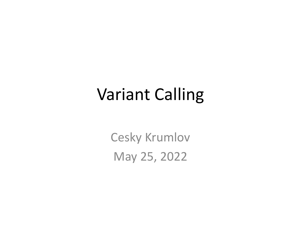### Variant Calling

Cesky Krumlov May 25, 2022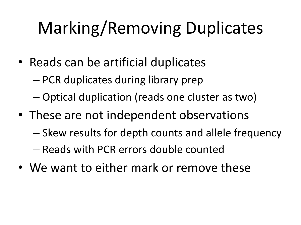# Marking/Removing Duplicates

- Reads can be artificial duplicates
	- PCR duplicates during library prep
	- Optical duplication (reads one cluster as two)
- These are not independent observations
	- Skew results for depth counts and allele frequency
	- Reads with PCR errors double counted
- We want to either mark or remove these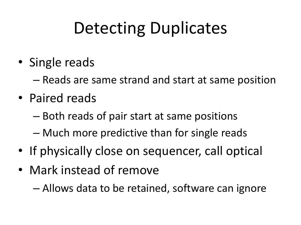# Detecting Duplicates

- Single reads
	- Reads are same strand and start at same position
- Paired reads
	- Both reads of pair start at same positions
	- Much more predictive than for single reads
- If physically close on sequencer, call optical
- Mark instead of remove

– Allows data to be retained, software can ignore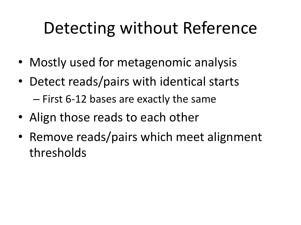## Detecting without Reference

- Mostly used for metagenomic analysis
- Detect reads/pairs with identical starts – First 6-12 bases are exactly the same
- Align those reads to each other
- Remove reads/pairs which meet alignment thresholds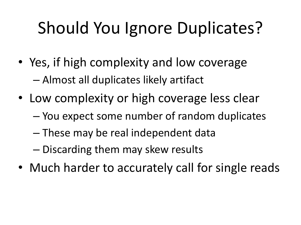# Should You Ignore Duplicates?

- Yes, if high complexity and low coverage – Almost all duplicates likely artifact
- Low complexity or high coverage less clear
	- You expect some number of random duplicates
	- These may be real independent data
	- Discarding them may skew results
- Much harder to accurately call for single reads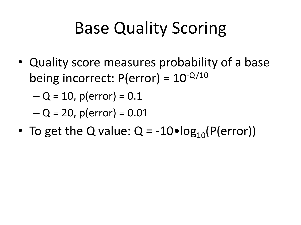## Base Quality Scoring

• Quality score measures probability of a base being incorrect:  $P(error) = 10^{-Q/10}$ 

 $-Q = 10$ , p(error) = 0.1

 $-Q = 20$ , p(error) =  $0.01$ 

• To get the Q value:  $Q = -10 \cdot log_{10}(P(error))$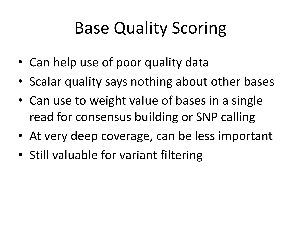## Base Quality Scoring

- Can help use of poor quality data
- Scalar quality says nothing about other bases
- Can use to weight value of bases in a single read for consensus building or SNP calling
- At very deep coverage, can be less important
- Still valuable for variant filtering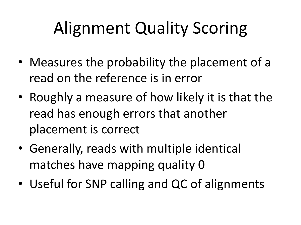# Alignment Quality Scoring

- Measures the probability the placement of a read on the reference is in error
- Roughly a measure of how likely it is that the read has enough errors that another placement is correct
- Generally, reads with multiple identical matches have mapping quality 0
- Useful for SNP calling and QC of alignments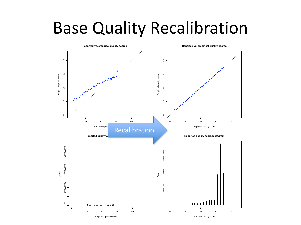#### Base Quality Recalibration

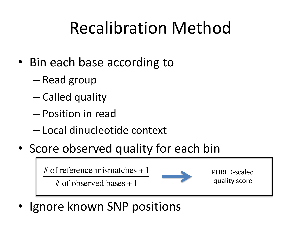### Recalibration Method

- Bin each base according to
	- Read group
	- Called quality
	- Position in read
	- Local dinucleotide context
- Score observed quality for each bin

# of reference mismatches + 1

# of observed bases + 1



PHRED-scaled quality score

• Ignore known SNP positions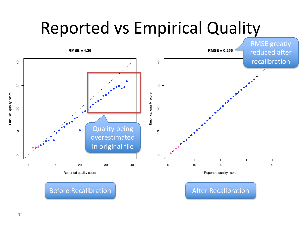### Reported vs Empirical Quality



Before Recalibration **After Recalibration**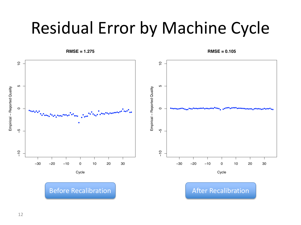### Residual Error by Machine Cycle



**RMSE = 0.105**

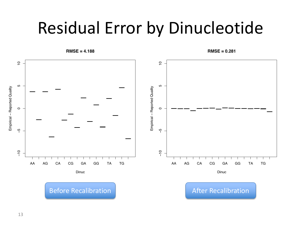### Residual Error by Dinucleotide



**RMSE = 0.281**



13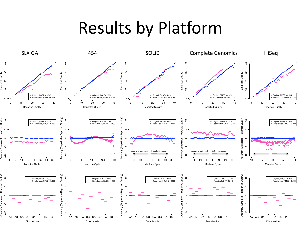#### Results by Platform

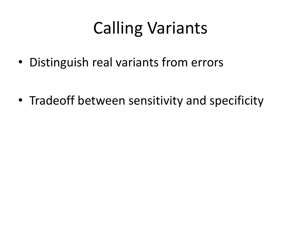## Calling Variants

• Distinguish real variants from errors

• Tradeoff between sensitivity and specificity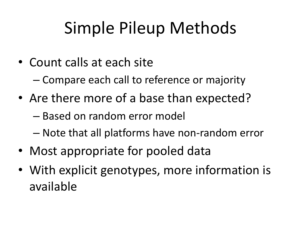## Simple Pileup Methods

• Count calls at each site

– Compare each call to reference or majority

- Are there more of a base than expected?
	- Based on random error model
	- Note that all platforms have non-random error
- Most appropriate for pooled data
- With explicit genotypes, more information is available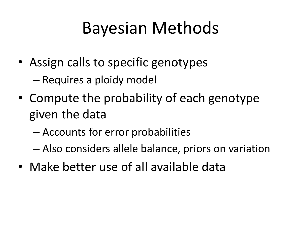### Bayesian Methods

- Assign calls to specific genotypes – Requires a ploidy model
- Compute the probability of each genotype given the data
	- Accounts for error probabilities
	- Also considers allele balance, priors on variation
- Make better use of all available data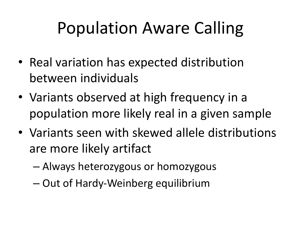# Population Aware Calling

- Real variation has expected distribution between individuals
- Variants observed at high frequency in a population more likely real in a given sample
- Variants seen with skewed allele distributions are more likely artifact
	- Always heterozygous or homozygous
	- Out of Hardy-Weinberg equilibrium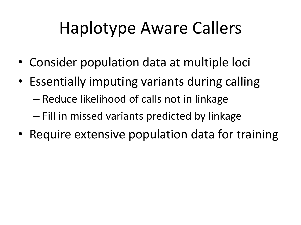# Haplotype Aware Callers

- Consider population data at multiple loci
- Essentially imputing variants during calling
	- Reduce likelihood of calls not in linkage
	- Fill in missed variants predicted by linkage
- Require extensive population data for training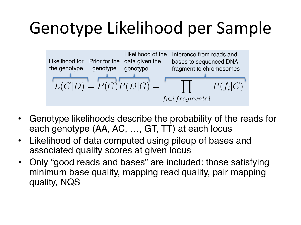## Genotype Likelihood per Sample



- Genotype likelihoods describe the probability of the reads for each genotype (AA, AC, …, GT, TT) at each locus
- Likelihood of data computed using pileup of bases and associated quality scores at given locus
- Only "good reads and bases" are included: those satisfying minimum base quality, mapping read quality, pair mapping quality, NQS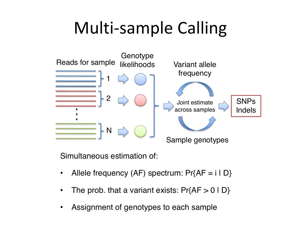### Multi-sample Calling



Simultaneous estimation of:

- Allele frequency (AF) spectrum:  $Pr{AF = i | D}$
- The prob. that a variant exists:  $Pr{AP > 0 | D}$
- Assignment of genotypes to each sample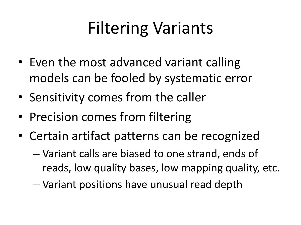# Filtering Variants

- Even the most advanced variant calling models can be fooled by systematic error
- Sensitivity comes from the caller
- Precision comes from filtering
- Certain artifact patterns can be recognized
	- Variant calls are biased to one strand, ends of reads, low quality bases, low mapping quality, etc.
	- Variant positions have unusual read depth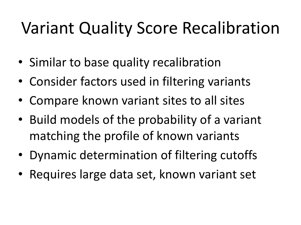## Variant Quality Score Recalibration

- Similar to base quality recalibration
- Consider factors used in filtering variants
- Compare known variant sites to all sites
- Build models of the probability of a variant matching the profile of known variants
- Dynamic determination of filtering cutoffs
- Requires large data set, known variant set